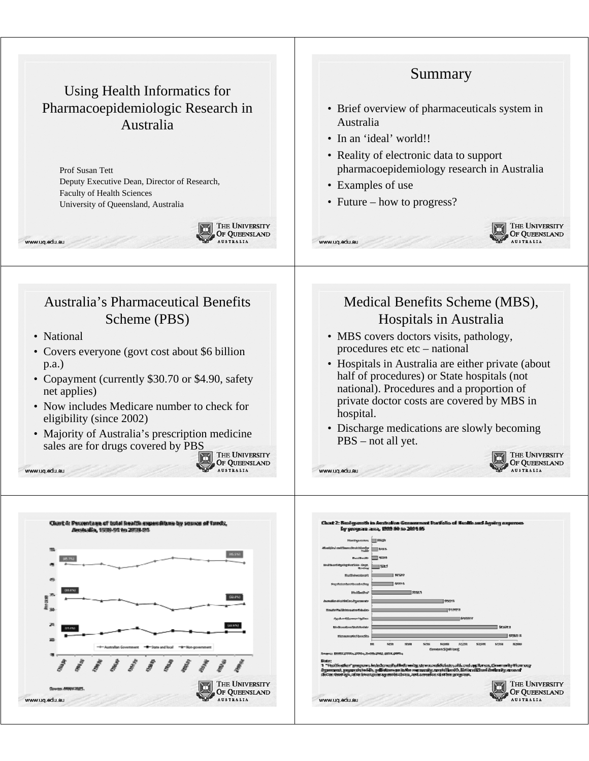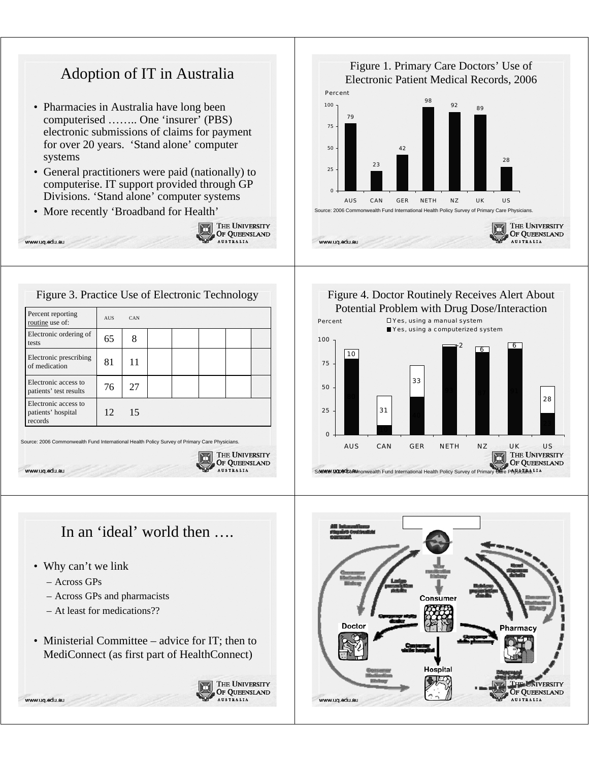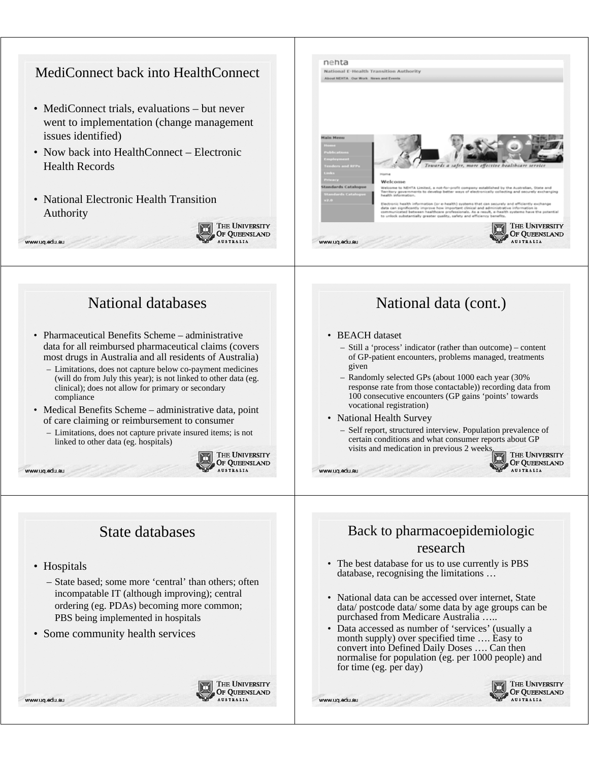

- Limitations, does not capture below co-payment medicines (will do from July this year); is not linked to other data (eg. clinical); does not allow for primary or secondary compliance
- Medical Benefits Scheme administrative data, point of care claiming or reimbursement to consumer
	- Limitations, does not capture private insured items; is not linked to other data (eg. hospitals)



## State databases

• Hospitals

www.uq.edu.au

www.ug.edu.au



• Some community health services



## Back to pharmacoepidemiologic research

– Randomly selected GPs (about 1000 each year (30% response rate from those contactable)) recording data from 100 consecutive encounters (GP gains 'points' towards

– Self report, structured interview. Population prevalence of certain conditions and what consumer reports about GP

visits and medication in previous 2 weeks.

vocational registration) • National Health Survey

www.ug.edu.au

www.uq.edu.au

- The best database for us to use currently is PBS database, recognising the limitations …
- National data can be accessed over internet, State data/ postcode data/ some data by age groups can be purchased from Medicare Australia …..
- Data accessed as number of 'services' (usually a month supply) over specified time …. Easy to convert into Defined Daily Doses …. Can then normalise for population (eg. per 1000 people) and for time (eg. per day)



THE UNIVERSITY

OF QUEENSLAND

**AUSTRALIA**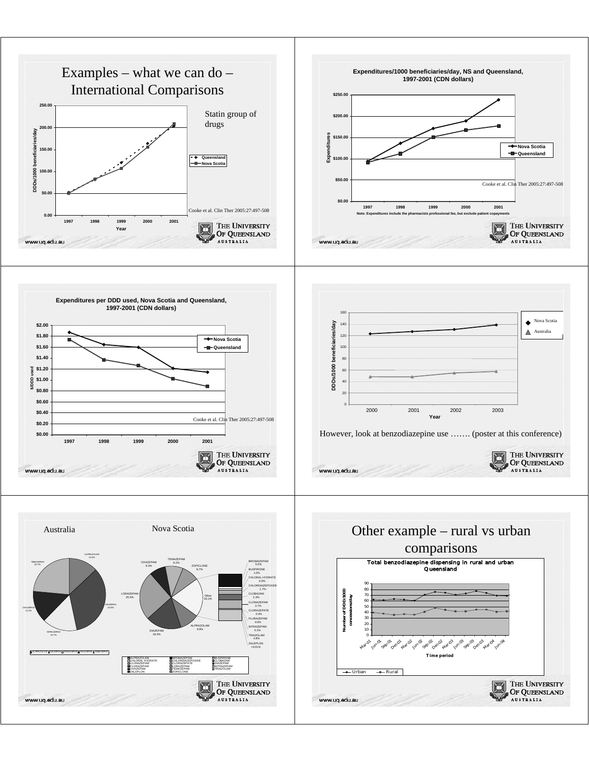